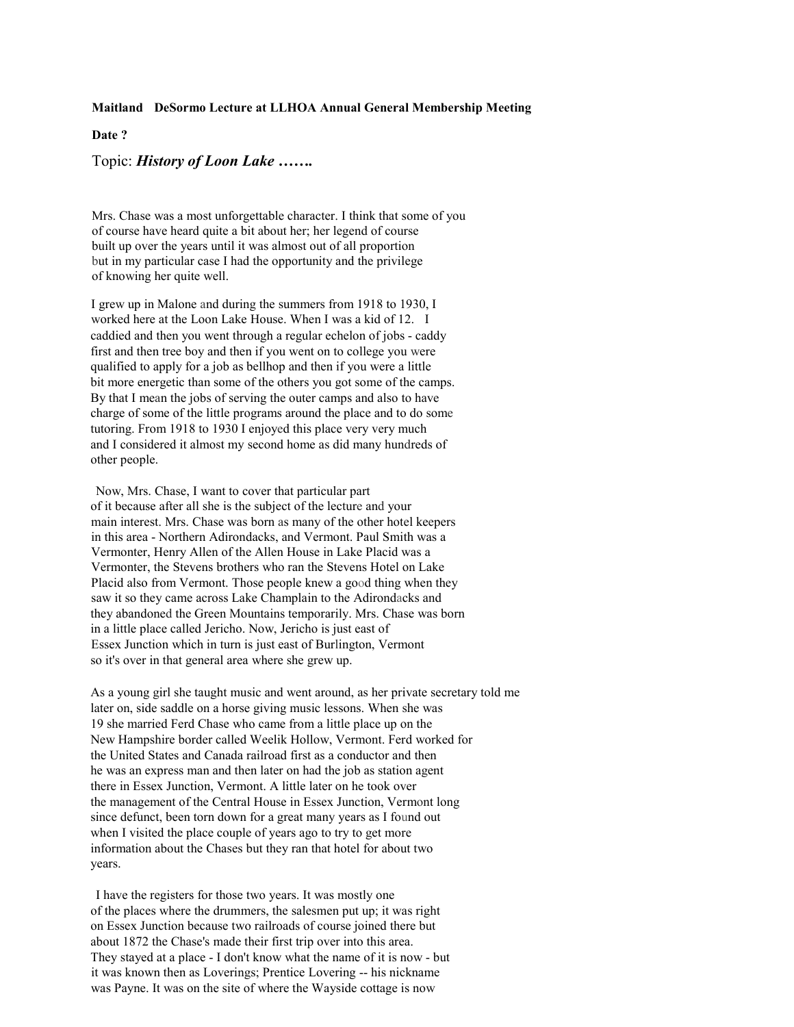# Maitland DeSormo Lecture at LLHOA Annual General Membership Meeting

# Date ?

Topic: *History of Loon Lake* .......

Mrs. Chase was a most unforgettable character. I think that some of you of course have heard quite a bit about her; her legend of course built up over the years until it was almost out of all proportion but in my particular case I had the opportunity and the privilege of knowing her quite well.

I grew up in Malone and during the summers from 1918 to 1930. I worked here at the Loon Lake House. When I was a kid of 12. I caddied and then you went through a regular echelon of jobs - caddy first and then tree boy and then if you went on to college you were qualified to apply for a job as bell hop and then if you were a little bit more energetic than some of the others you got some of the camps. By that I mean the jobs of serving the outer camps and also to have charge of some of the little programs around the place and to do some tutoring. From 1918 to 1930 I enjoyed this place very very much and I considered it almost my second home as did many hundreds of other people.

Now, Mrs. Chase, I want to cover that particular part of it because after all she is the subject of the lecture and your main interest. Mrs. Chase was born as many of the other hotel keepers in this area - Northern Adirondacks, and Vermont. Paul Smith was a Vermonter, Henry Allen of the Allen House in Lake Placid was a Vermonter, the Stevens brothers who ran the Stevens Hotel on Lake Placid also from Vermont. Those people knew a good thing when they saw it so they came across Lake Champlain to the Adirondacks and they abandoned the Green Mountains temporarily. Mrs. Chase was born in a little place called Jericho. Now, Jericho is just east of Essex Junction which in turn is just east of Burlington, Vermont so it's over in that general area where she grew up.

As a young girl she taught music and went around, as her private secretary told me later on, side saddle on a horse giving music lessons. When she was 19 she married Ferd Chase who came from a little place up on the New Hampshire border called Weelik Hollow, Vermont, Ferd worked for the United States and Canada railroad first as a conductor and then he was an express man and then later on had the job as station agent there in Essex Junction, Vermont. A little later on he took over the management of the Central House in Essex Junction, Vermont long since defunct, been torn down for a great many years as I found out when I visited the place couple of years ago to try to get more information about the Chases but they ran that hotel for about two years.

I have the registers for those two years. It was mostly one of the places where the drummers, the salesmen put up; it was right on Essex Junction because two railroads of course joined there but about 1872 the Chase's made their first trip over into this area. They stayed at a place - I don't know what the name of it is now - but it was known then as Loverings; Prentice Lovering -- his nickname was Payne. It was on the site of where the Wayside cottage is now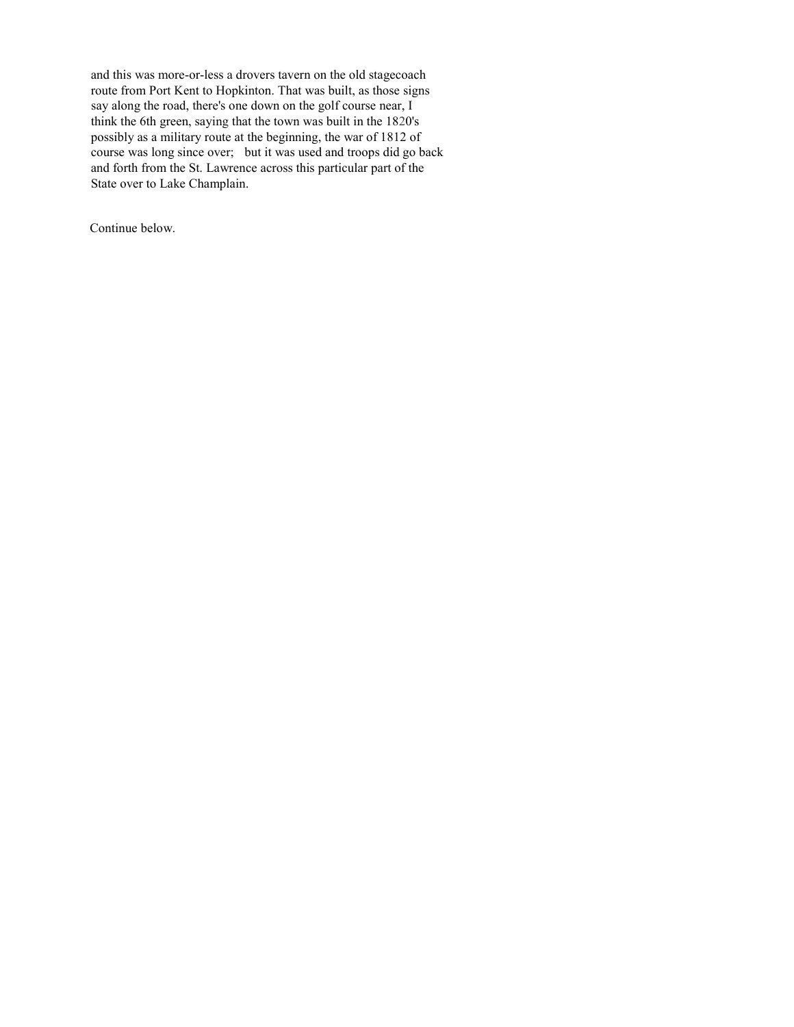and this was more-or-less a drovers tavern on the old stagecoach route from Port Kent to Hopkinton. That was built, as those signs say along the road, there's one down on the golf course near,  $I$ think the 6th green, saying that the town was built in the 1820's possibly as a military route at the beginning, the war of 1812 of course was long since over; but it was used and troops did go back and forth from the St. Lawrence across this particular part of the State over to Lake Champlain.

Continue below.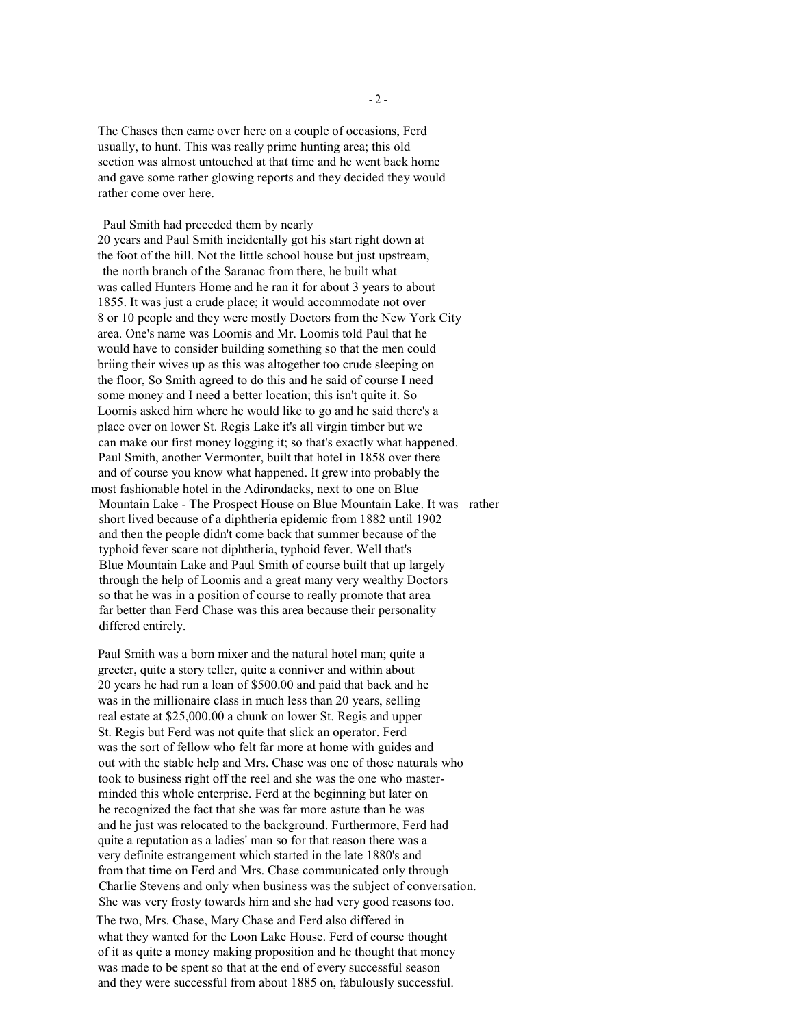The Chases then came over here on a couple of occasions, Ferd usually, to hunt. This was really prime hunting area; this old section was almost untouched at that time and he went back home and gave some rather glowing reports and they decided they would rather come over here.

Paul Smith had preceded them by nearly 20 years and Paul Smith incidentally got his start right down at the foot of the hill. Not the little school house but just upstream, the north branch of the Saranac from there, he built what was called Hunters Home and he ran it for about 3 years to about 1855. It was just a crude place; it would accommodate not over 8 or 10 people and they were mostly Doctors from the New York City area. One's name was Loomis and Mr. Loomis told Paul that he would have to consider building something so that the men could briing their wives up as this was altogether too crude sleeping on the floor, So Smith agreed to do this and he said of course I need some money and I need a better location; this isn't quite it. So Loomis asked him where he would like to go and he said there's a place over on lower St. Regis Lake it's all virgin timber but we can make our first money logging it; so that's exactly what happened. Paul Smith, another Vermonter, built that hotel in 1858 over there and of course you know what happened. It grew into probably the most fashionable hotel in the Adirondacks, next to one on Blue Mountain Lake - The Prospect House on Blue Mountain Lake. It was rather short lived because of a diphtheria epidemic from 1882 until 1902 and then the people didn't come back that summer because of the typhoid fever scare not diphtheria, typhoid fever. Well that's Blue Mountain Lake and Paul Smith of course built that up largely through the help of Loomis and a great many very wealthy Doctors so that he was in a position of course to really promote that area far better than Ferd Chase was this area because their personality differed entirely.

Paul Smith was a born mixer and the natural hotel man; quite a greeter, quite a story teller, quite a conniver and within about 20 years he had run a loan of \$500.00 and paid that back and he was in the millionaire class in much less than 20 years, selling real estate at \$25,000.00 a chunk on lower St. Regis and upper St. Regis but Ferd was not quite that slick an operator. Ferd was the sort of fellow who felt far more at home with guides and out with the stable help and Mrs. Chase was one of those naturals who took to business right off the reel and she was the one who masterminded this whole enterprise. Ferd at the beginning but later on he recognized the fact that she was far more astute than he was and he just was relocated to the background. Furthermore, Ferd had quite a reputation as a ladies' man so for that reason there was a very definite estrangement which started in the late 1880's and from that time on Ferd and Mrs. Chase communicated only through Charlie Stevens and only when business was the subject of conversation. She was very frosty towards him and she had very good reasons too. The two, Mrs. Chase, Mary Chase and Ferd also differed in what they wanted for the Loon Lake House. Ferd of course thought of it as quite a money making proposition and he thought that money was made to be spent so that at the end of every successful season and they were successful from about 1885 on, fabulously successful.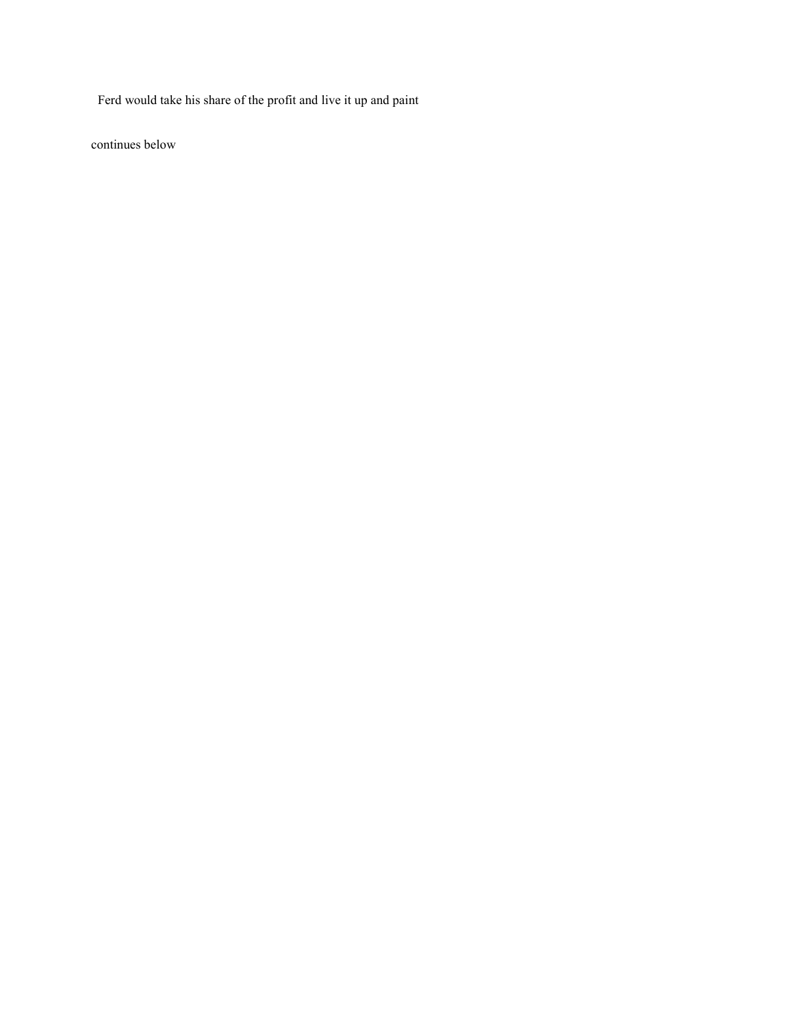Ferd would take his share of the profit and live it up and paint

continues below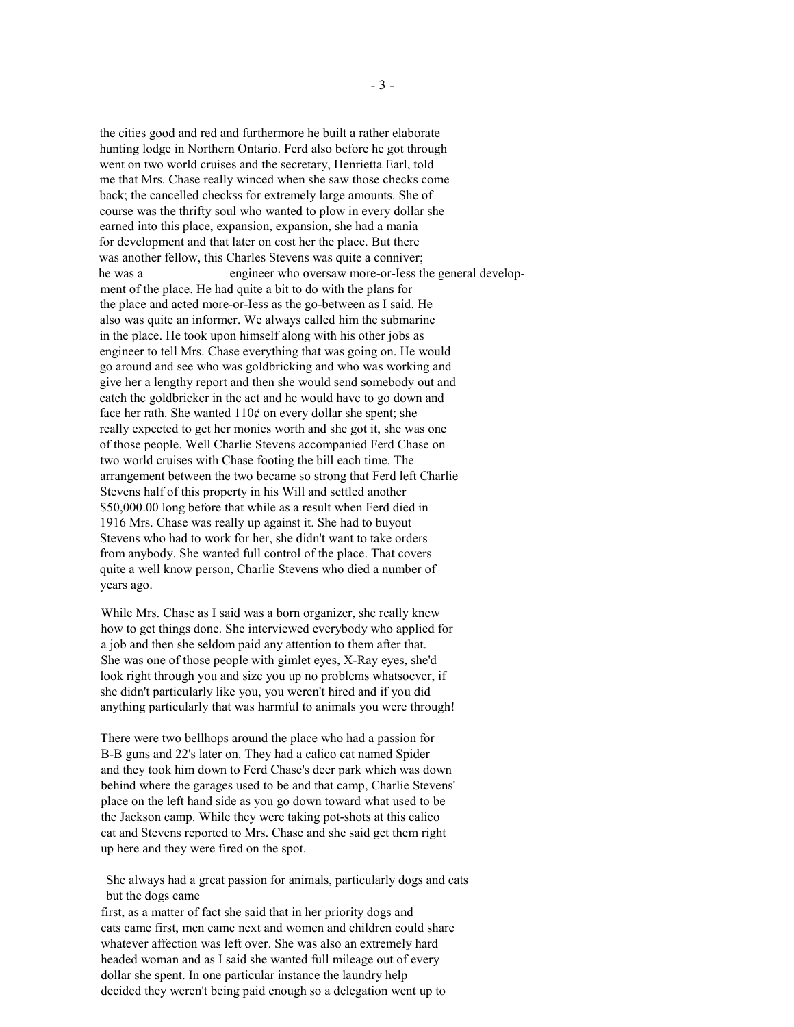the cities good and red and furthermore he built a rather elaborate hunting lodge in Northern Ontario. Ferd also before he got through went on two world cruises and the secretary, Henrietta Earl, told me that Mrs. Chase really winced when she saw those checks come back; the cancelled checkss for extremely large amounts. She of course was the thrifty soul who wanted to plow in every dollar she earned into this place, expansion, expansion, she had a mania for development and that later on cost her the place. But there was another fellow, this Charles Stevens was quite a conniver; engineer who oversaw more-or-less the general develophe was a ment of the place. He had quite a bit to do with the plans for the place and acted more-or-Jess as the go-between as I said. He also was quite an informer. We always called him the submarine in the place. He took upon himself along with his other jobs as engineer to tell Mrs. Chase everything that was going on. He would go around and see who was goldbricking and who was working and give her a lengthy report and then she would send somebody out and catch the goldbricker in the act and he would have to go down and face her rath. She wanted  $110¢$  on every dollar she spent; she really expected to get her monies worth and she got it, she was one of those people. Well Charlie Stevens accompanied Ferd Chase on two world cruises with Chase footing the bill each time. The arrangement between the two became so strong that Ferd left Charlie Stevens half of this property in his Will and settled another \$50,000.00 long before that while as a result when Ferd died in 1916 Mrs. Chase was really up against it. She had to buyout Stevens who had to work for her, she didn't want to take orders from anybody. She wanted full control of the place. That covers quite a well know person, Charlie Stevens who died a number of years ago.

While Mrs. Chase as I said was a born organizer, she really knew how to get things done. She interviewed everybody who applied for a job and then she seldom paid any attention to them after that. She was one of those people with gimlet eyes, X-Ray eyes, she'd look right through you and size you up no problems whatsoever, if she didn't particularly like you, you weren't hired and if you did anything particularly that was harmful to animals you were through!

There were two bellhops around the place who had a passion for B-B guns and 22's later on. They had a calico cat named Spider and they took him down to Ferd Chase's deer park which was down behind where the garages used to be and that camp, Charlie Stevens' place on the left hand side as you go down toward what used to be the Jackson camp. While they were taking pot-shots at this calico cat and Stevens reported to Mrs. Chase and she said get them right up here and they were fired on the spot.

She always had a great passion for animals, particularly dogs and cats but the dogs came

first, as a matter of fact she said that in her priority dogs and cats came first, men came next and women and children could share whatever affection was left over. She was also an extremely hard headed woman and as I said she wanted full mileage out of every dollar she spent. In one particular instance the laundry help decided they weren't being paid enough so a delegation went up to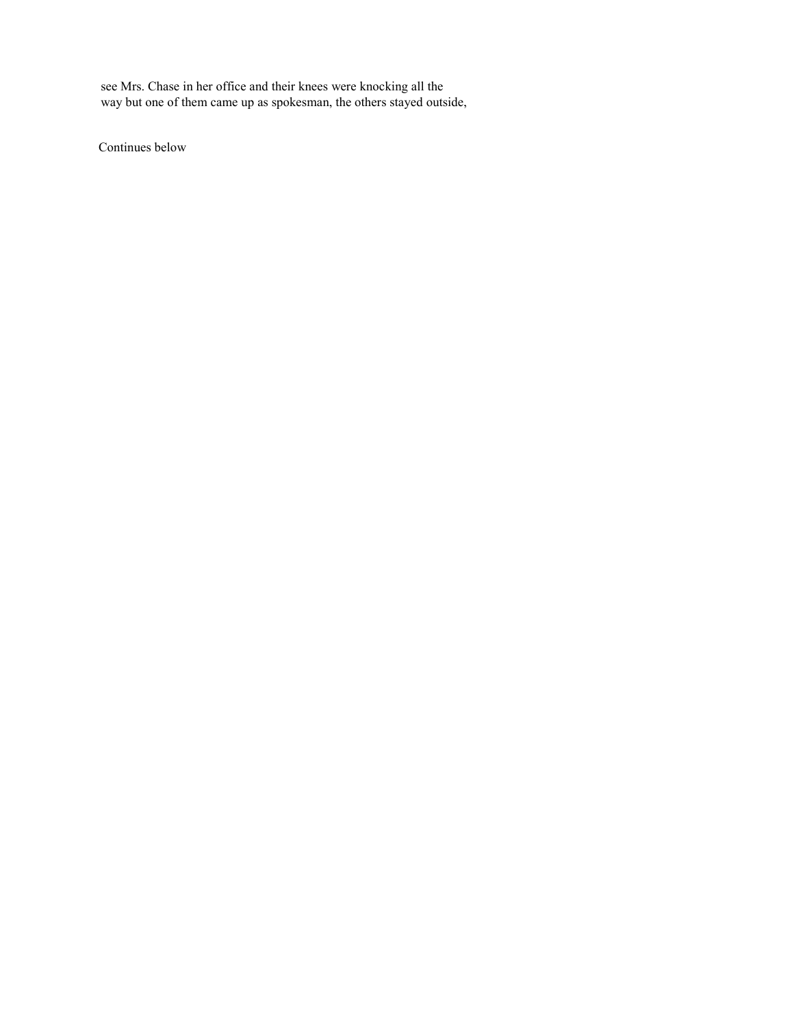see Mrs. Chase in her office and their knees were knocking all the way but one of them came up as spokesman, the others stayed outside,

Continues below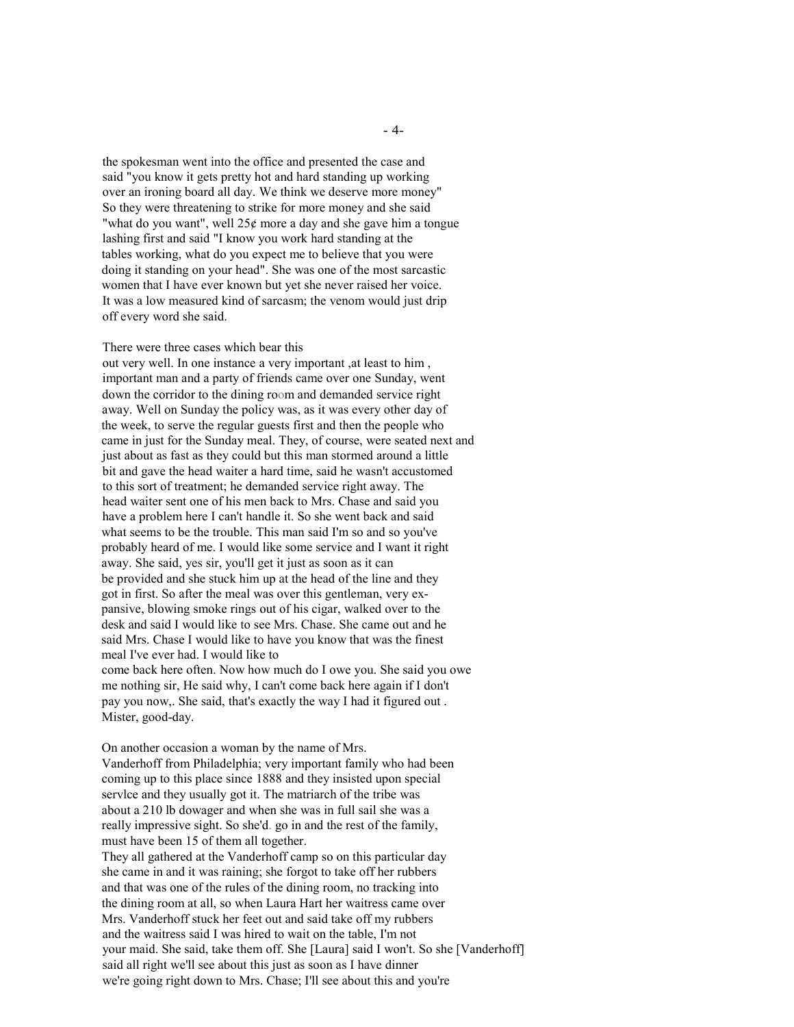the spokesman went into the office and presented the case and said "you know it gets pretty hot and hard standing up working over an ironing board all day. We think we deserve more money" So they were threatening to strike for more money and she said "what do you want", well  $25¢$  more a day and she gave him a tongue lashing first and said "I know you work hard standing at the tables working, what do you expect me to believe that you were doing it standing on your head". She was one of the most sarcastic women that I have ever known but yet she never raised her voice. It was a low measured kind of sarcasm; the venom would just drip off every word she said.

### There were three cases which bear this

out very well. In one instance a very important, at least to him, important man and a party of friends came over one Sunday, went down the corridor to the dining room and demanded service right away. Well on Sunday the policy was, as it was every other day of the week, to serve the regular guests first and then the people who came in just for the Sunday meal. They, of course, were seated next and just about as fast as they could but this man stormed around a little bit and gave the head waiter a hard time, said he wasn't accustomed to this sort of treatment; he demanded service right away. The head waiter sent one of his men back to Mrs. Chase and said you have a problem here I can't handle it. So she went back and said what seems to be the trouble. This man said I'm so and so you've probably heard of me. I would like some service and I want it right away. She said, yes sir, you'll get it just as soon as it can be provided and she stuck him up at the head of the line and they got in first. So after the meal was over this gentleman, very expansive, blowing smoke rings out of his cigar, walked over to the desk and said I would like to see Mrs. Chase. She came out and he said Mrs. Chase I would like to have you know that was the finest meal I've ever had. I would like to come back here often. Now how much do I owe you. She said you owe me nothing sir, He said why, I can't come back here again if I don't pay you now.. She said, that's exactly the way I had it figured out. Mister, good-day.

On another occasion a woman by the name of Mrs. Vanderhoff from Philadelphia; very important family who had been coming up to this place since 1888 and they insisted upon special service and they usually got it. The matriarch of the tribe was about a 210 lb dowager and when she was in full sail she was a really impressive sight. So she'd, go in and the rest of the family, must have been 15 of them all together.

They all gathered at the Vanderhoff camp so on this particular day she came in and it was raining; she forgot to take off her rubbers and that was one of the rules of the dining room, no tracking into the dining room at all, so when Laura Hart her waitress came over Mrs. Vanderhoff stuck her feet out and said take off my rubbers and the waitress said I was hired to wait on the table, I'm not your maid. She said, take them off. She [Laura] said I won't. So she [Vanderhoff] said all right we'll see about this just as soon as I have dinner we're going right down to Mrs. Chase; I'll see about this and you're

 $-4-$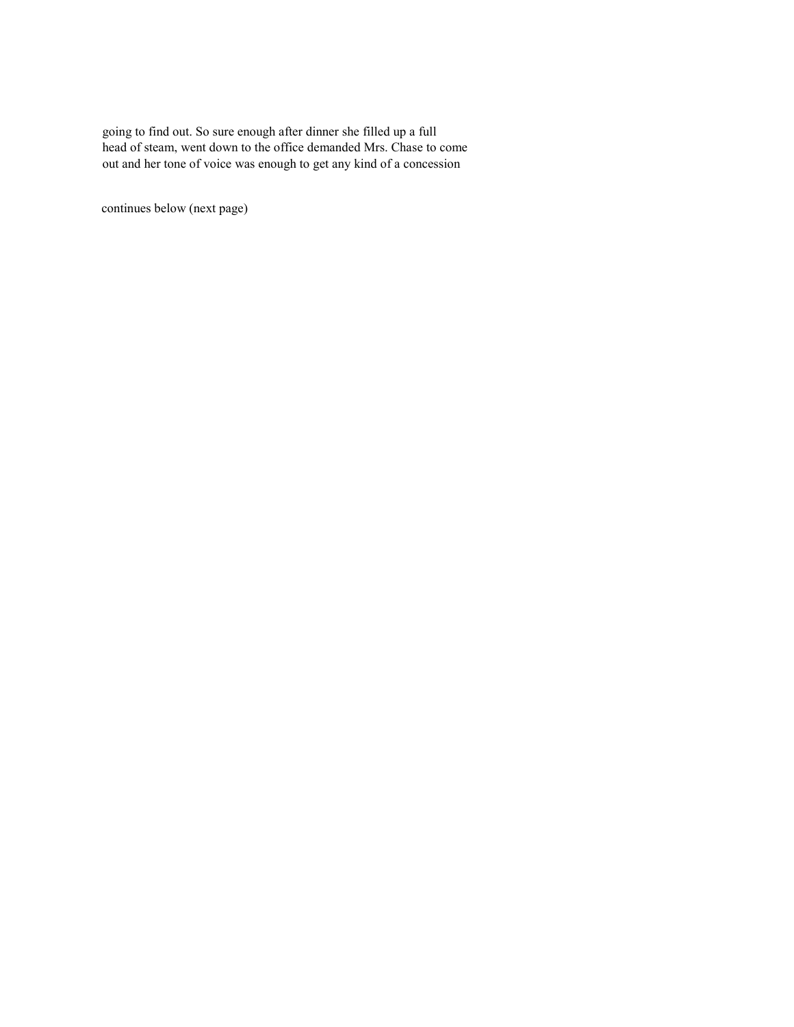going to find out. So sure enough after dinner she filled up a full head of steam, went down to the office demanded Mrs. Chase to come out and her tone of voice was enough to get any kind of a concession

continues below (next page)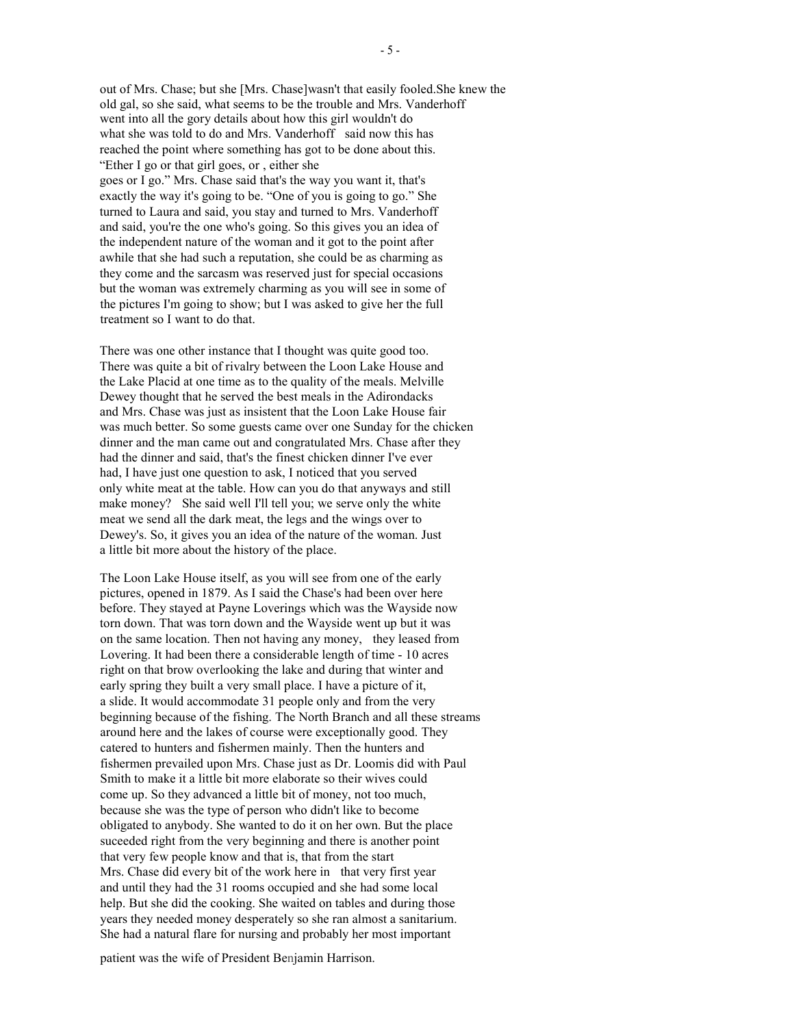out of Mrs. Chase: but she [Mrs. Chase]wasn't that easily fooled. She knew the old gal, so she said, what seems to be the trouble and Mrs. Vanderhoff went into all the gory details about how this girl wouldn't do what she was told to do and Mrs. Vanderhoff said now this has reached the point where something has got to be done about this. "Ether I go or that girl goes, or, either she goes or I go." Mrs. Chase said that's the way you want it, that's exactly the way it's going to be. "One of you is going to go." She turned to Laura and said, you stay and turned to Mrs. Vanderhoff and said, you're the one who's going. So this gives you an idea of the independent nature of the woman and it got to the point after awhile that she had such a reputation, she could be as charming as they come and the sarcasm was reserved just for special occasions but the woman was extremely charming as you will see in some of the pictures I'm going to show; but I was asked to give her the full treatment so I want to do that.

There was one other instance that I thought was quite good too. There was quite a bit of rivalry between the Loon Lake House and the Lake Placid at one time as to the quality of the meals. Melville Dewey thought that he served the best meals in the Adirondacks and Mrs. Chase was just as insistent that the Loon Lake House fair was much better. So some guests came over one Sunday for the chicken dinner and the man came out and congratulated Mrs. Chase after they had the dinner and said, that's the finest chicken dinner I've ever had, I have just one question to ask, I noticed that you served only white meat at the table. How can you do that anyways and still make money? She said well I'll tell you; we serve only the white meat we send all the dark meat, the legs and the wings over to Dewey's. So, it gives you an idea of the nature of the woman. Just a little bit more about the history of the place.

The Loon Lake House itself, as you will see from one of the early pictures, opened in 1879. As I said the Chase's had been over here before. They stayed at Payne Loverings which was the Wayside now torn down. That was torn down and the Wayside went up but it was on the same location. Then not having any money, they leased from Lovering. It had been there a considerable length of time - 10 acres right on that brow overlooking the lake and during that winter and early spring they built a very small place. I have a picture of it, a slide. It would accommodate 31 people only and from the very beginning because of the fishing. The North Branch and all these streams around here and the lakes of course were exceptionally good. They catered to hunters and fishermen mainly. Then the hunters and fishermen prevailed upon Mrs. Chase just as Dr. Loomis did with Paul Smith to make it a little bit more elaborate so their wives could come up. So they advanced a little bit of money, not too much, because she was the type of person who didn't like to become obligated to anybody. She wanted to do it on her own. But the place suceeded right from the very beginning and there is another point that very few people know and that is, that from the start Mrs. Chase did every bit of the work here in that very first year and until they had the 31 rooms occupied and she had some local help. But she did the cooking. She waited on tables and during those years they needed money desperately so she ran almost a sanitarium. She had a natural flare for nursing and probably her most important

patient was the wife of President Benjamin Harrison.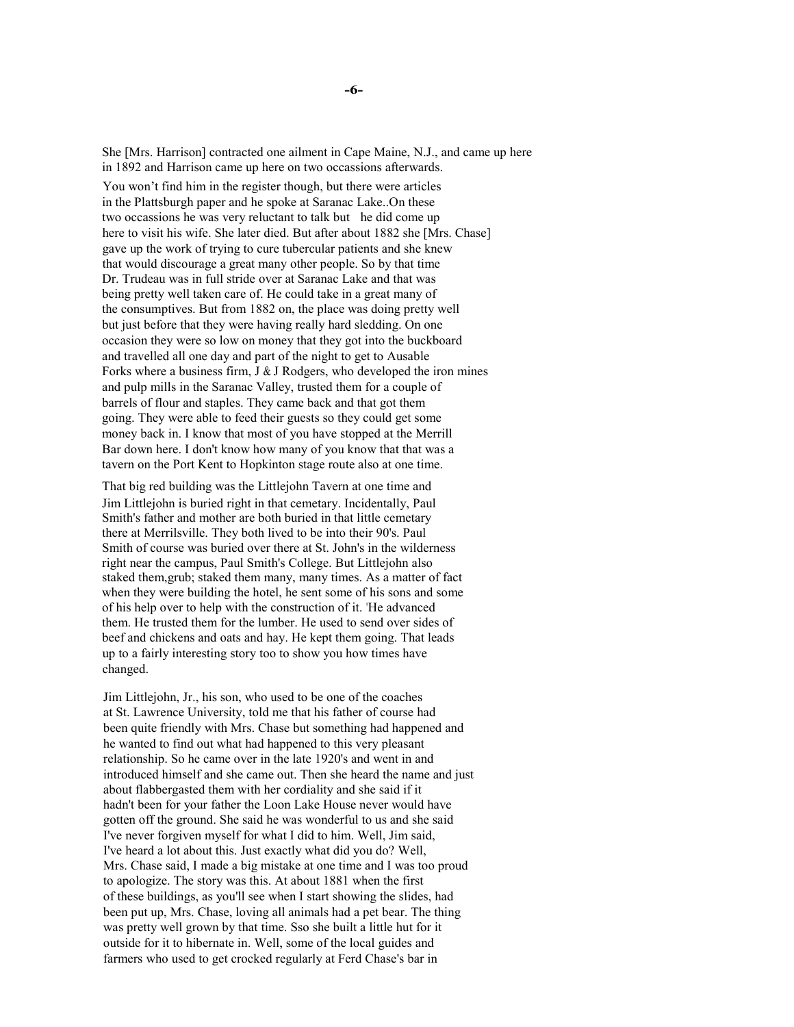She [Mrs. Harrison] contracted one ailment in Cape Maine, N.J., and came up here in 1892 and Harrison came up here on two occassions afterwards.

You won't find him in the register though, but there were articles in the Plattsburgh paper and he spoke at Saranac Lake. On these two occassions he was very reluctant to talk but he did come up here to visit his wife. She later died. But after about 1882 she [Mrs. Chase] gave up the work of trying to cure tubercular patients and she knew that would discourage a great many other people. So by that time Dr. Trudeau was in full stride over at Saranac Lake and that was being pretty well taken care of. He could take in a great many of the consumptives. But from 1882 on, the place was doing pretty well but just before that they were having really hard sledding. On one occasion they were so low on money that they got into the buckboard and travelled all one day and part of the night to get to Ausable Forks where a business firm,  $J \& J$  Rodgers, who developed the iron mines and pulp mills in the Saranac Valley, trusted them for a couple of barrels of flour and staples. They came back and that got them going. They were able to feed their guests so they could get some money back in. I know that most of you have stopped at the Merrill Bar down here. I don't know how many of you know that that was a tavern on the Port Kent to Hopkinton stage route also at one time.

That big red building was the Littlejohn Tavern at one time and Jim Littleiohn is buried right in that cemetary. Incidentally, Paul Smith's father and mother are both buried in that little cemetary there at Merrilsville. They both lived to be into their 90's. Paul Smith of course was buried over there at St. John's in the wilderness right near the campus, Paul Smith's College. But Littlejohn also staked them, grub; staked them many, many times. As a matter of fact when they were building the hotel, he sent some of his sons and some of his help over to help with the construction of it. 'He advanced them. He trusted them for the lumber. He used to send over sides of beef and chickens and oats and hay. He kept them going. That leads up to a fairly interesting story too to show you how times have changed.

Jim Littlejohn, Jr., his son, who used to be one of the coaches at St. Lawrence University, told me that his father of course had been quite friendly with Mrs. Chase but something had happened and he wanted to find out what had happened to this very pleasant relationship. So he came over in the late 1920's and went in and introduced himself and she came out. Then she heard the name and just about flabbergasted them with her cordiality and she said if it hadn't been for your father the Loon Lake House never would have gotten off the ground. She said he was wonderful to us and she said I've never forgiven myself for what I did to him. Well, Jim said, I've heard a lot about this. Just exactly what did you do? Well, Mrs. Chase said, I made a big mistake at one time and I was too proud to apologize. The story was this. At about 1881 when the first of these buildings, as you'll see when I start showing the slides, had been put up, Mrs. Chase, loving all animals had a pet bear. The thing was pretty well grown by that time. Sso she built a little hut for it outside for it to hibernate in. Well, some of the local guides and farmers who used to get crocked regularly at Ferd Chase's bar in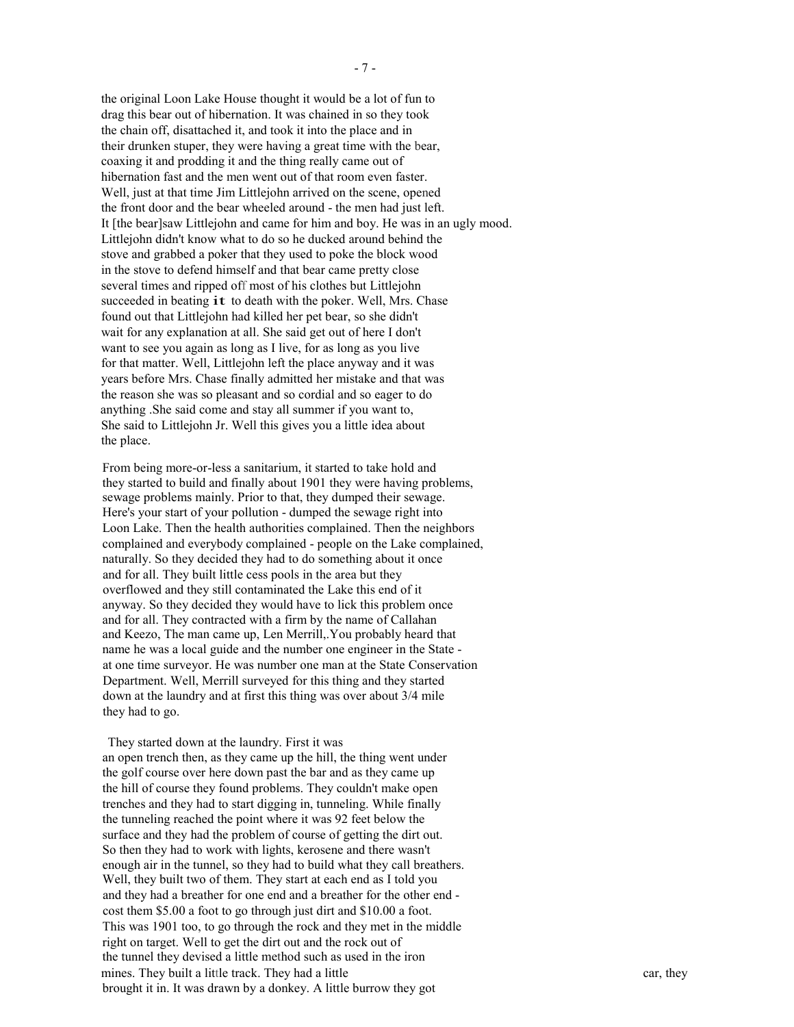the original Loon Lake House thought it would be a lot of fun to drag this bear out of hibernation. It was chained in so they took the chain off, disattached it, and took it into the place and in their drunken stuper, they were having a great time with the bear, coaxing it and prodding it and the thing really came out of hibernation fast and the men went out of that room even faster. Well, just at that time Jim Littlejohn arrived on the scene, opened the front door and the bear wheeled around - the men had just left. It [the bear]saw Littlejohn and came for him and boy. He was in an ugly mood. Littlejohn didn't know what to do so he ducked around behind the stove and grabbed a poker that they used to poke the block wood in the stove to defend himself and that bear came pretty close several times and ripped off most of his clothes but Littlejohn succeeded in beating it to death with the poker. Well, Mrs. Chase found out that Littlejohn had killed her pet bear, so she didn't wait for any explanation at all. She said get out of here I don't want to see you again as long as I live, for as long as you live for that matter. Well, Littlejohn left the place anyway and it was years before Mrs. Chase finally admitted her mistake and that was the reason she was so pleasant and so cordial and so eager to do anything. She said come and stay all summer if you want to. She said to Littlejohn Jr. Well this gives you a little idea about the place.

From being more-or-less a sanitarium, it started to take hold and they started to build and finally about 1901 they were having problems. sewage problems mainly. Prior to that, they dumped their sewage. Here's your start of your pollution - dumped the sewage right into Loon Lake. Then the health authorities complained. Then the neighbors complained and everybody complained - people on the Lake complained. naturally. So they decided they had to do something about it once and for all. They built little cess pools in the area but they overflowed and they still contaminated the Lake this end of it anyway. So they decided they would have to lick this problem once and for all. They contracted with a firm by the name of Callahan and Keezo, The man came up, Len Merrill, You probably heard that name he was a local guide and the number one engineer in the State at one time surveyor. He was number one man at the State Conservation Department. Well, Merrill surveyed for this thing and they started down at the laundry and at first this thing was over about 3/4 mile they had to go.

They started down at the laundry. First it was an open trench then, as they came up the hill, the thing went under the golf course over here down past the bar and as they came up the hill of course they found problems. They couldn't make open trenches and they had to start digging in, tunneling. While finally the tunneling reached the point where it was 92 feet below the surface and they had the problem of course of getting the dirt out. So then they had to work with lights, kerosene and there wasn't enough air in the tunnel, so they had to build what they call breathers. Well, they built two of them. They start at each end as I told you and they had a breather for one end and a breather for the other end cost them \$5.00 a foot to go through just dirt and \$10.00 a foot. This was 1901 too, to go through the rock and they met in the middle right on target. Well to get the dirt out and the rock out of the tunnel they devised a little method such as used in the iron mines. They built a little track. They had a little brought it in. It was drawn by a donkey. A little burrow they got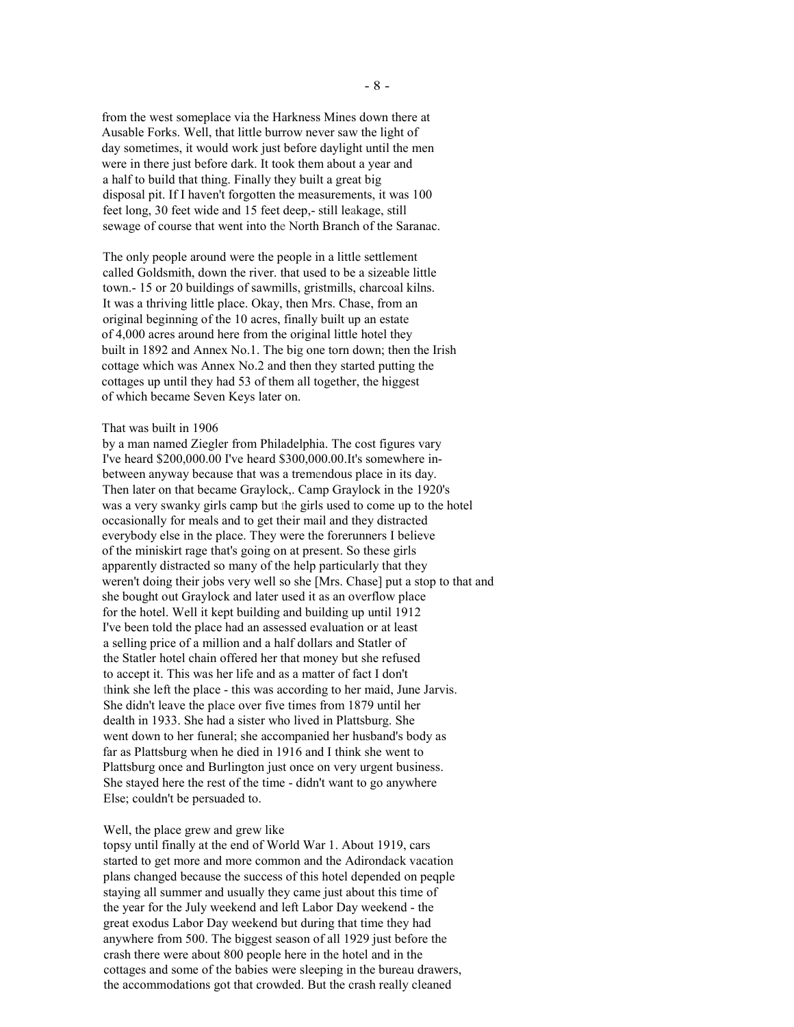from the west someplace via the Harkness Mines down there at Ausable Forks. Well, that little burrow never saw the light of day sometimes, it would work just before daylight until the men were in there just before dark. It took them about a year and a half to build that thing. Finally they built a great big disposal pit. If I haven't forgotten the measurements, it was 100 feet long, 30 feet wide and 15 feet deep,- still leakage, still sewage of course that went into the North Branch of the Saranac.

The only people around were the people in a little settlement called Goldsmith, down the river, that used to be a sizeable little town.-15 or 20 buildings of sawmills, gristmills, charcoal kilns. It was a thriving little place. Okay, then Mrs. Chase, from an original beginning of the 10 acres, finally built up an estate of 4,000 acres around here from the original little hotel they built in 1892 and Annex No.1. The big one torn down; then the Irish cottage which was Annex No.2 and then they started putting the cottages up until they had 53 of them all together, the higgest of which became Seven Keys later on.

### That was built in 1906

by a man named Ziegler from Philadelphia. The cost figures vary I've heard \$200,000.00 I've heard \$300,000.00.It's somewhere inbetween anyway because that was a tremendous place in its day. Then later on that became Graylock,. Camp Graylock in the 1920's was a very swanky girls camp but the girls used to come up to the hotel occasionally for meals and to get their mail and they distracted everybody else in the place. They were the forerunners I believe of the miniskirt rage that's going on at present. So these girls apparently distracted so many of the help particularly that they weren't doing their jobs very well so she [Mrs. Chase] put a stop to that and she bought out Graylock and later used it as an overflow place for the hotel. Well it kept building and building up until 1912 I've been told the place had an assessed evaluation or at least a selling price of a million and a half dollars and Statler of the Statler hotel chain offered her that money but she refused to accept it. This was her life and as a matter of fact I don't think she left the place - this was according to her maid, June Jarvis. She didn't leave the place over five times from 1879 until her dealth in 1933. She had a sister who lived in Plattsburg. She went down to her funeral; she accompanied her husband's body as far as Plattsburg when he died in 1916 and I think she went to Plattsburg once and Burlington just once on very urgent business. She stayed here the rest of the time - didn't want to go anywhere Else; couldn't be persuaded to.

### Well, the place grew and grew like

topsy until finally at the end of World War 1. About 1919, cars started to get more and more common and the Adirondack vacation plans changed because the success of this hotel depended on peqple staying all summer and usually they came just about this time of the year for the July weekend and left Labor Day weekend - the great exodus Labor Day weekend but during that time they had anywhere from 500. The biggest season of all 1929 just before the crash there were about 800 people here in the hotel and in the cottages and some of the babies were sleeping in the bureau drawers, the accommodations got that crowded. But the crash really cleaned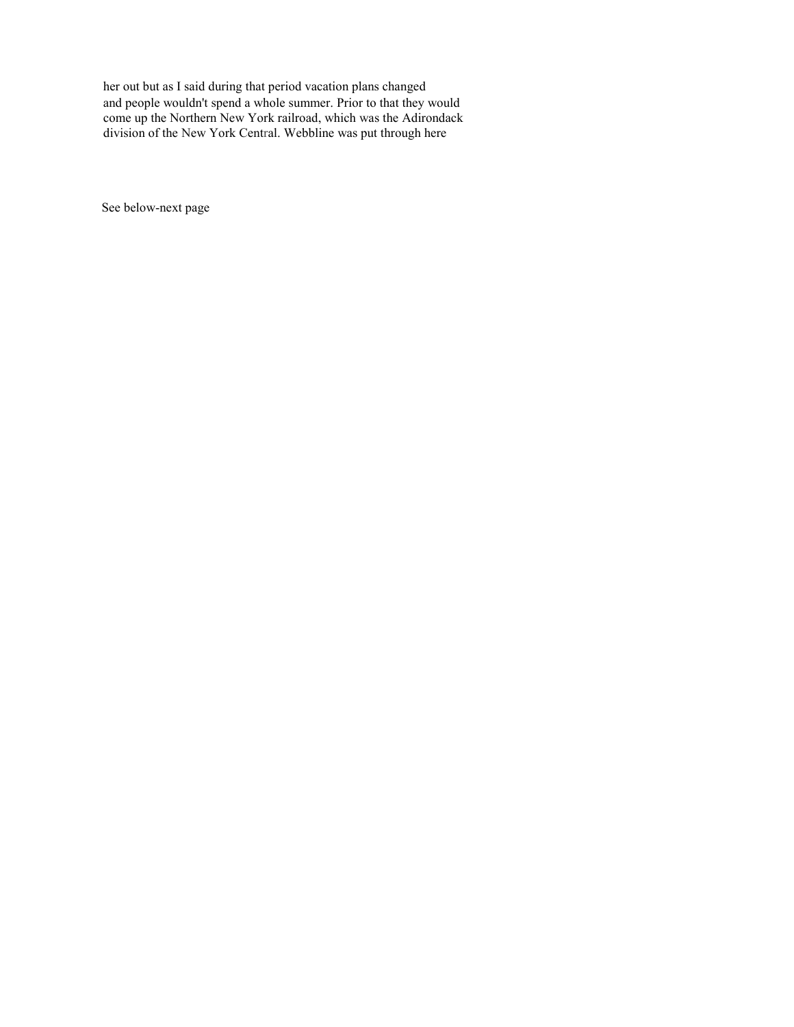her out but as I said during that period vacation plans changed and people wouldn't spend a whole summer. Prior to that they would<br>come up the Northern New York railroad, which was the Adirondack division of the New York Central. Webbline was put through here

See below-next page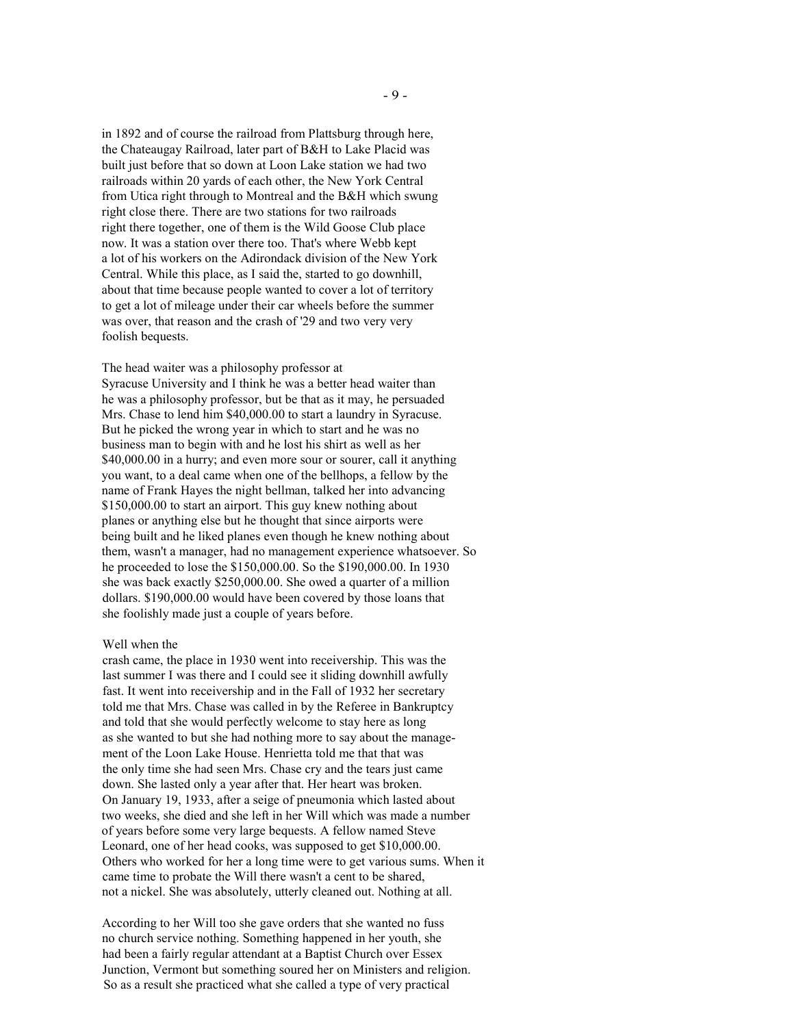in 1892 and of course the railroad from Plattsburg through here, the Chateaugay Railroad, later part of B&H to Lake Placid was built just before that so down at Loon Lake station we had two railroads within 20 yards of each other, the New York Central from Utica right through to Montreal and the B&H which swung right close there. There are two stations for two railroads right there together, one of them is the Wild Goose Club place now. It was a station over there too. That's where Webb kept a lot of his workers on the Adirondack division of the New York Central. While this place, as I said the, started to go downhill, about that time because people wanted to cover a lot of territory to get a lot of mileage under their car wheels before the summer was over, that reason and the crash of '29 and two very very foolish bequests.

The head waiter was a philosophy professor at Syracuse University and I think he was a better head waiter than he was a philosophy professor, but be that as it may, he persuaded Mrs. Chase to lend him \$40,000.00 to start a laundry in Syracuse. But he picked the wrong year in which to start and he was no business man to begin with and he lost his shirt as well as her \$40,000.00 in a hurry; and even more sour or sourer, call it anything you want, to a deal came when one of the bellhops, a fellow by the name of Frank Hayes the night bellman, talked her into advancing \$150,000.00 to start an airport. This guy knew nothing about planes or anything else but he thought that since airports were being built and he liked planes even though he knew nothing about them, wasn't a manager, had no management experience whatsoever. So he proceeded to lose the \$150,000.00. So the \$190,000.00. In 1930 she was back exactly \$250,000.00. She owed a quarter of a million dollars. \$190,000.00 would have been covered by those loans that she foolishly made just a couple of years before.

## Well when the

crash came, the place in 1930 went into receivership. This was the last summer I was there and I could see it sliding downhill awfully fast. It went into receivership and in the Fall of 1932 her secretary told me that Mrs. Chase was called in by the Referee in Bankruptcy and told that she would perfectly welcome to stay here as long as she wanted to but she had nothing more to say about the management of the Loon Lake House. Henrietta told me that that was the only time she had seen Mrs. Chase cry and the tears just came down. She lasted only a year after that. Her heart was broken. On January 19, 1933, after a seige of pneumonia which lasted about two weeks, she died and she left in her Will which was made a number of years before some very large bequests. A fellow named Steve Leonard, one of her head cooks, was supposed to get \$10,000.00. Others who worked for her a long time were to get various sums. When it came time to probate the Will there wasn't a cent to be shared, not a nickel. She was absolutely, utterly cleaned out. Nothing at all.

According to her Will too she gave orders that she wanted no fuss no church service nothing. Something happened in her youth, she had been a fairly regular attendant at a Baptist Church over Essex Junction, Vermont but something soured her on Ministers and religion. So as a result she practiced what she called a type of very practical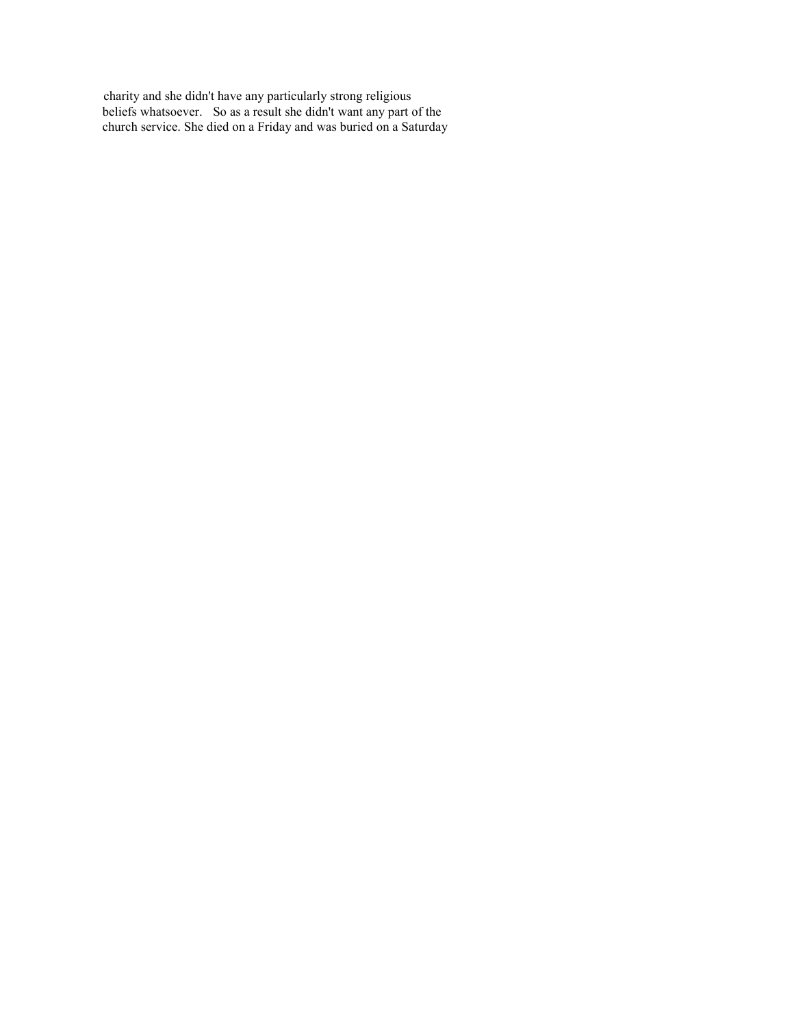charity and she didn't have any particularly strong religious<br>beliefs whatsoever. So as a result she didn't want any part of the<br>church service. She died on a Friday and was buried on a Saturday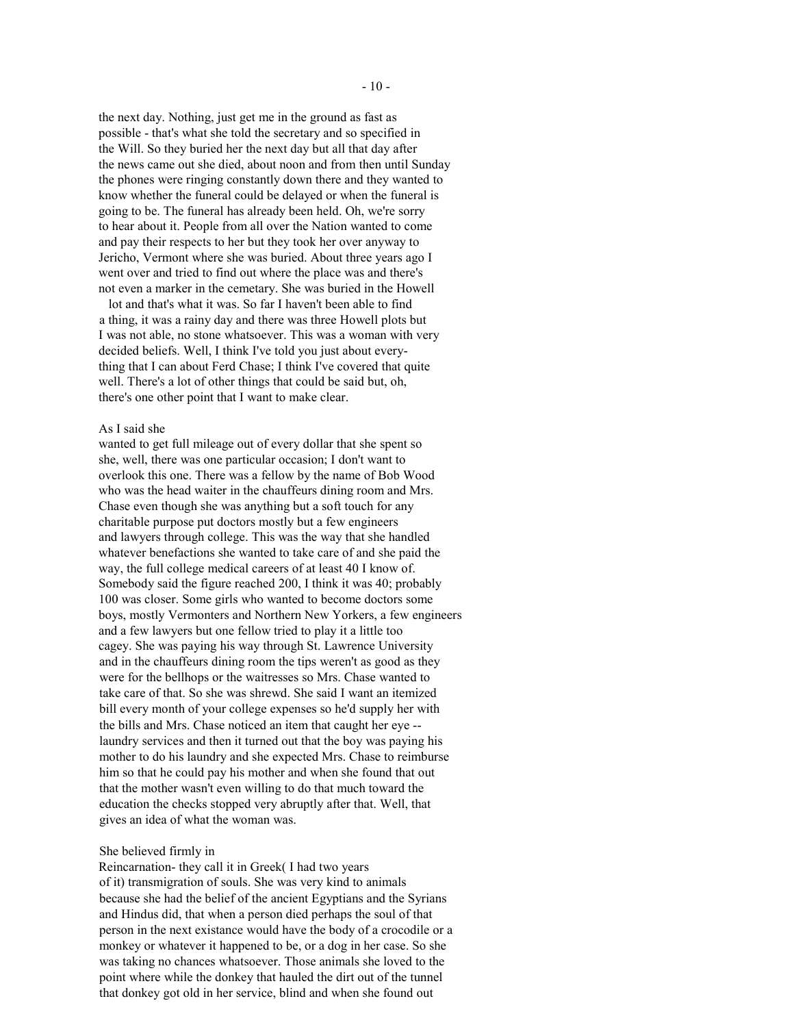the next day. Nothing, just get me in the ground as fast as possible - that's what she told the secretary and so specified in the Will. So they buried her the next day but all that day after the news came out she died, about noon and from then until Sunday the phones were ringing constantly down there and they wanted to know whether the funeral could be delayed or when the funeral is going to be. The funeral has already been held. Oh, we're sorry to hear about it. People from all over the Nation wanted to come and pay their respects to her but they took her over anyway to Jericho, Vermont where she was buried. About three years ago I went over and tried to find out where the place was and there's not even a marker in the cemetary. She was buried in the Howell

lot and that's what it was. So far I haven't been able to find a thing, it was a rainy day and there was three Howell plots but I was not able, no stone whatsoever. This was a woman with very decided beliefs. Well, I think I've told you just about everything that I can about Ferd Chase; I think I've covered that quite well. There's a lot of other things that could be said but, oh, there's one other point that I want to make clear.

# As I said she

wanted to get full mileage out of every dollar that she spent so she, well, there was one particular occasion; I don't want to overlook this one. There was a fellow by the name of Bob Wood who was the head waiter in the chauffeurs dining room and Mrs. Chase even though she was anything but a soft touch for any charitable purpose put doctors mostly but a few engineers and lawyers through college. This was the way that she handled whatever benefactions she wanted to take care of and she paid the way, the full college medical careers of at least 40 I know of. Somebody said the figure reached 200, I think it was 40; probably 100 was closer. Some girls who wanted to become doctors some boys, mostly Vermonters and Northern New Yorkers, a few engineers and a few lawyers but one fellow tried to play it a little too cagey. She was paying his way through St. Lawrence University and in the chauffeurs dining room the tips weren't as good as they were for the bellhops or the waitresses so Mrs. Chase wanted to take care of that. So she was shrewd. She said I want an itemized bill every month of your college expenses so he'd supply her with the bills and Mrs. Chase noticed an item that caught her eye -laundry services and then it turned out that the boy was paying his mother to do his laundry and she expected Mrs. Chase to reimburse him so that he could pay his mother and when she found that out that the mother wasn't even willing to do that much toward the education the checks stopped very abruptly after that. Well, that gives an idea of what the woman was.

### She believed firmly in

Reincarnation- they call it in Greek( I had two years of it) transmigration of souls. She was very kind to animals because she had the belief of the ancient Egyptians and the Syrians and Hindus did, that when a person died perhaps the soul of that person in the next existance would have the body of a crocodile or a monkey or whatever it happened to be, or a dog in her case. So she was taking no chances whatsoever. Those animals she loved to the point where while the donkey that hauled the dirt out of the tunnel that donkey got old in her service, blind and when she found out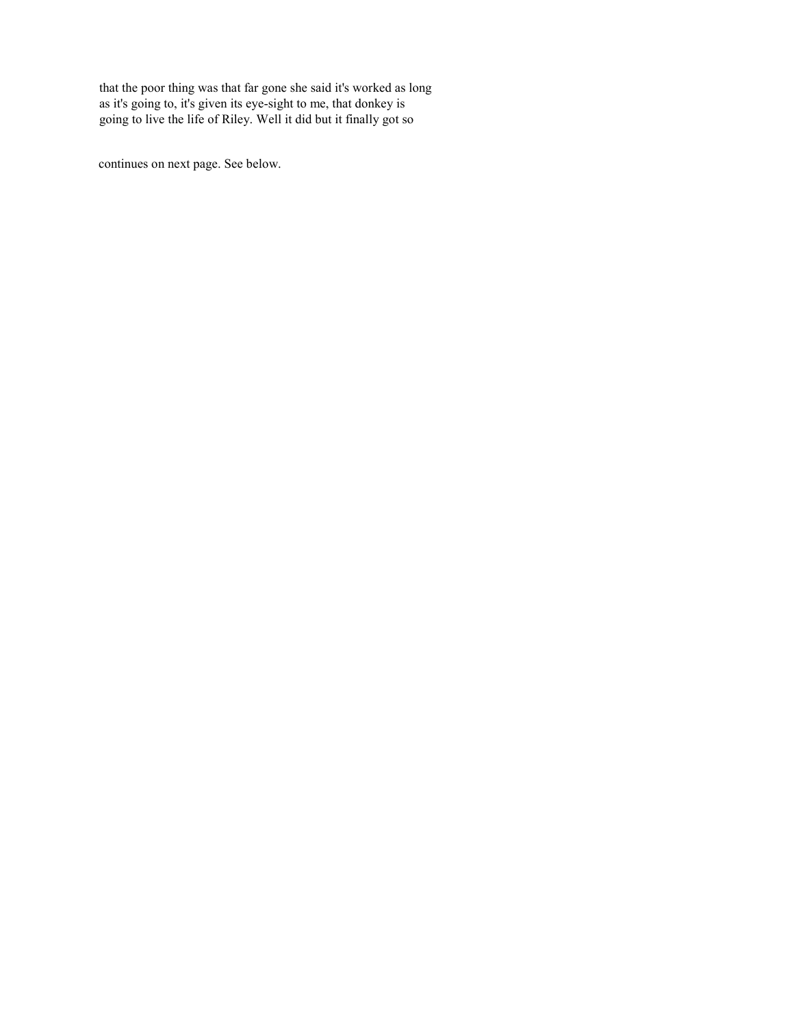that the poor thing was that far gone she said it's worked as long<br>as it's going to, it's given its eye-sight to me, that donkey is going to live the life of Riley. Well it did but it finally got so

continues on next page. See below.